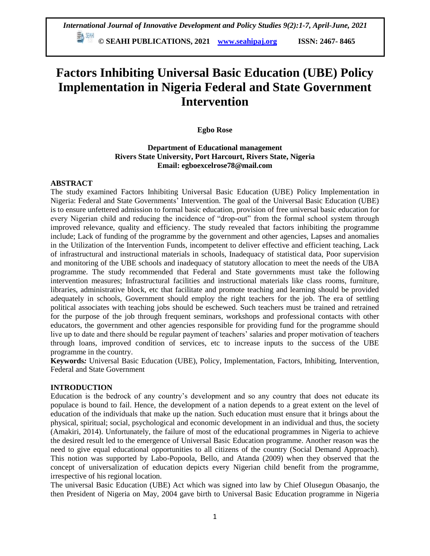**© SEAHI PUBLICATIONS, 2021 [www.seahipaj.org](http://www.seahipaj.org/) ISSN: 2467- 8465**

# **Factors Inhibiting Universal Basic Education (UBE) Policy Implementation in Nigeria Federal and State Government Intervention**

## **Egbo Rose**

# **Department of Educational management Rivers State University, Port Harcourt, Rivers State, Nigeria Email: egboexcelrose78@mail.com**

### **ABSTRACT**

The study examined Factors Inhibiting Universal Basic Education (UBE) Policy Implementation in Nigeria: Federal and State Governments' Intervention. The goal of the Universal Basic Education (UBE) is to ensure unfettered admission to formal basic education, provision of free universal basic education for every Nigerian child and reducing the incidence of "drop-out" from the formal school system through improved relevance, quality and efficiency. The study revealed that factors inhibiting the programme include; Lack of funding of the programme by the government and other agencies, Lapses and anomalies in the Utilization of the Intervention Funds, incompetent to deliver effective and efficient teaching, Lack of infrastructural and instructional materials in schools, Inadequacy of statistical data, Poor supervision and monitoring of the UBE schools and inadequacy of statutory allocation to meet the needs of the UBA programme. The study recommended that Federal and State governments must take the following intervention measures; Infrastructural facilities and instructional materials like class rooms, furniture, libraries, administrative block, etc that facilitate and promote teaching and learning should be provided adequately in schools, Government should employ the right teachers for the job. The era of settling political associates with teaching jobs should be eschewed. Such teachers must be trained and retrained for the purpose of the job through frequent seminars, workshops and professional contacts with other educators, the government and other agencies responsible for providing fund for the programme should live up to date and there should be regular payment of teachers' salaries and proper motivation of teachers through loans, improved condition of services, etc to increase inputs to the success of the UBE programme in the country.

**Keywords***:* Universal Basic Education (UBE), Policy, Implementation, Factors, Inhibiting, Intervention, Federal and State Government

#### **INTRODUCTION**

Education is the bedrock of any country's development and so any country that does not educate its populace is bound to fail. Hence, the development of a nation depends to a great extent on the level of education of the individuals that make up the nation. Such education must ensure that it brings about the physical, spiritual; social, psychological and economic development in an individual and thus, the society (Amakiri, 2014). Unfortunately, the failure of most of the educational programmes in Nigeria to achieve the desired result led to the emergence of Universal Basic Education programme. Another reason was the need to give equal educational opportunities to all citizens of the country (Social Demand Approach). This notion was supported by Labo-Popoola, Bello, and Atanda (2009) when they observed that the concept of universalization of education depicts every Nigerian child benefit from the programme, irrespective of his regional location.

The universal Basic Education (UBE) Act which was signed into law by Chief Olusegun Obasanjo, the then President of Nigeria on May, 2004 gave birth to Universal Basic Education programme in Nigeria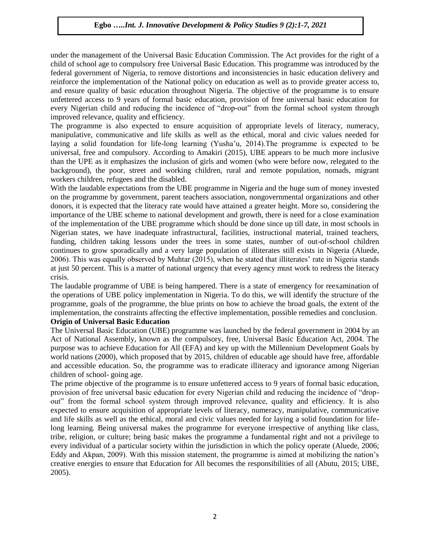under the management of the Universal Basic Education Commission. The Act provides for the right of a child of school age to compulsory free Universal Basic Education. This programme was introduced by the federal government of Nigeria, to remove distortions and inconsistencies in basic education delivery and reinforce the implementation of the National policy on education as well as to provide greater access to, and ensure quality of basic education throughout Nigeria. The objective of the programme is to ensure unfettered access to 9 years of formal basic education, provision of free universal basic education for every Nigerian child and reducing the incidence of "drop-out" from the formal school system through improved relevance, quality and efficiency.

The programme is also expected to ensure acquisition of appropriate levels of literacy, numeracy, manipulative, communicative and life skills as well as the ethical, moral and civic values needed for laying a solid foundation for life-long learning (Yusha'u, 2014).The programme is expected to be universal, free and compulsory. According to Amakiri (2015), UBE appears to be much more inclusive than the UPE as it emphasizes the inclusion of girls and women (who were before now, relegated to the background), the poor, street and working children, rural and remote population, nomads, migrant workers children, refugees and the disabled.

With the laudable expectations from the UBE programme in Nigeria and the huge sum of money invested on the programme by government, parent teachers association, nongovernmental organizations and other donors, it is expected that the literacy rate would have attained a greater height. More so, considering the importance of the UBE scheme to national development and growth, there is need for a close examination of the implementation of the UBE programme which should be done since up till date, in most schools in Nigerian states, we have inadequate infrastructural, facilities, instructional material, trained teachers, funding, children taking lessons under the trees in some states, number of out-of-school children continues to grow sporadically and a very large population of illiterates still exists in Nigeria (Aluede, 2006). This was equally observed by Muhtar (2015), when he stated that illiterates' rate in Nigeria stands at just 50 percent. This is a matter of national urgency that every agency must work to redress the literacy crisis.

The laudable programme of UBE is being hampered. There is a state of emergency for reexamination of the operations of UBE policy implementation in Nigeria. To do this, we will identify the structure of the programme, goals of the programme, the blue prints on how to achieve the broad goals, the extent of the implementation, the constraints affecting the effective implementation, possible remedies and conclusion.

#### **Origin of Universal Basic Education**

The Universal Basic Education (UBE) programme was launched by the federal government in 2004 by an Act of National Assembly, known as the compulsory, free, Universal Basic Education Act, 2004. The purpose was to achieve Education for All (EFA) and key up with the Millennium Development Goals by world nations (2000), which proposed that by 2015, children of educable age should have free, affordable and accessible education. So, the programme was to eradicate illiteracy and ignorance among Nigerian children of school- going age.

The prime objective of the programme is to ensure unfettered access to 9 years of formal basic education, provision of free universal basic education for every Nigerian child and reducing the incidence of "dropout" from the formal school system through improved relevance, quality and efficiency. It is also expected to ensure acquisition of appropriate levels of literacy, numeracy, manipulative, communicative and life skills as well as the ethical, moral and civic values needed for laying a solid foundation for lifelong learning. Being universal makes the programme for everyone irrespective of anything like class, tribe, religion, or culture; being basic makes the programme a fundamental right and not a privilege to every individual of a particular society within the jurisdiction in which the policy operate (Aluede, 2006; Eddy and Akpan, 2009). With this mission statement, the programme is aimed at mobilizing the nation's creative energies to ensure that Education for All becomes the responsibilities of all (Abutu, 2015; UBE, 2005).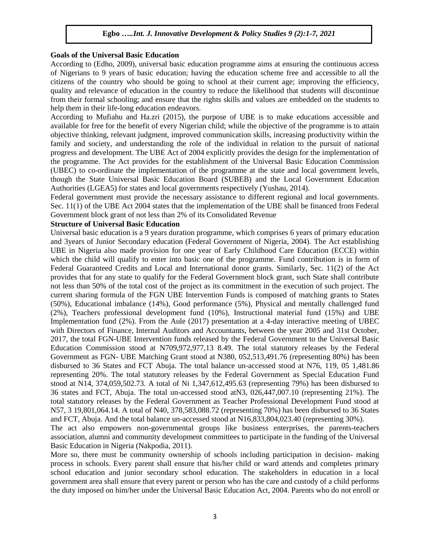#### **Goals of the Universal Basic Education**

According to (Edho, 2009), universal basic education programme aims at ensuring the continuous access of Nigerians to 9 years of basic education; having the education scheme free and accessible to all the citizens of the country who should be going to school at their current age; improving the efficiency, quality and relevance of education in the country to reduce the likelihood that students will discontinue from their formal schooling; and ensure that the rights skills and values are embedded on the students to help them in their life-long education endeavors.

According to Mufiahu and Ha.zri (2015), the purpose of UBE is to make educations accessible and available for free for the benefit of every Nigerian child; while the objective of the programme is to attain objective thinking, relevant judgment, improved communication skills, increasing productivity within the family and society, and understanding the role of the individual in relation to the pursuit of national progress and development. The UBE Act of 2004 explicitly provides the design for the implementation of the programme. The Act provides for the establishment of the Universal Basic Education Commission (UBEC) to co-ordinate the implementation of the programme at the state and local government levels, though the State Universal Basic Education Board (SUBEB) and the Local Government Education Authorities (LGEA5) for states and local governments respectively (Yushau, 2014).

Federal government must provide the necessary assistance to different regional and local governments. Sec. 11(1) of the UBE Act 2004 states that the implementation of the UBE shall be financed from Federal Government block grant of not less than 2% of its Consolidated Revenue

### **Structure of Universal Basic Education**

Universal basic education is a 9 years duration programme, which comprises 6 years of primary education and 3years of Junior Secondary education (Federal Government of Nigeria, 2004). The Act establishing UBE in Nigeria also made provision for one year of Early Childhood Care Education (ECCE) within which the child will qualify to enter into basic one of the programme. Fund contribution is in form of Federal Guaranteed Credits and Local and International donor grants. Similarly, Sec. 11(2) of the Act provides that for any state to qualify for the Federal Government block grant, such State shall contribute not less than 50% of the total cost of the project as its commitment in the execution of such project. The current sharing formula of the FGN UBE Intervention Funds is composed of matching grants to States (50%), Educational imbalance (14%), Good performance (5%), Physical and mentally challenged fund (2%), Teachers professional development fund (10%), Instructional material fund (15%) and UBE Implementation fund (2%). From the Aule (2017) presentation at a 4-day interactive meeting of UBEC with Directors of Finance, Internal Auditors and Accountants, between the year 2005 and 31st October, 2017, the total FGN-UBE Intervention funds released by the Federal Government to the Universal Basic Education Commission stood at N709,972,977,13 8.49. The total statutory releases by the Federal Government as FGN- UBE Matching Grant stood at N380, 052,513,491.76 (representing 80%) has been disbursed to 36 States and FCT Abuja. The total balance un-accessed stood at N76, 119, 05 1,481.86 representing 20%. The total statutory releases by the Federal Government as Special Education Fund stood at N14, 374,059,502.73. A total of Ni 1,347,612,495.63 (representing 79%) has been disbursed to 36 states and FCT, Abuja. The total un-accessed stood atN3, 026,447,007.10 (representing 21%). The total statutory releases by the Federal Government as Teacher Professional Development Fund stood at N57, 3 19,801,064.14. A total of N40, 378,583,088.72 (representing 70%) has been disbursed to 36 States and FCT, Abuja. And the total balance un-accessed stood at N16,833,804,023.40 (representing 30%).

The act also empowers non-governmental groups like business enterprises, the parents-teachers association, alumni and community development committees to participate in the funding of the Universal Basic Education in Nigeria (Nakpodia, 2011).

More so, there must be community ownership of schools including participation in decision- making process in schools. Every parent shall ensure that his/her child or ward attends and completes primary school education and junior secondary school education. The stakeholders in education in a local government area shall ensure that every parent or person who has the care and custody of a child performs the duty imposed on him/her under the Universal Basic Education Act, 2004. Parents who do not enroll or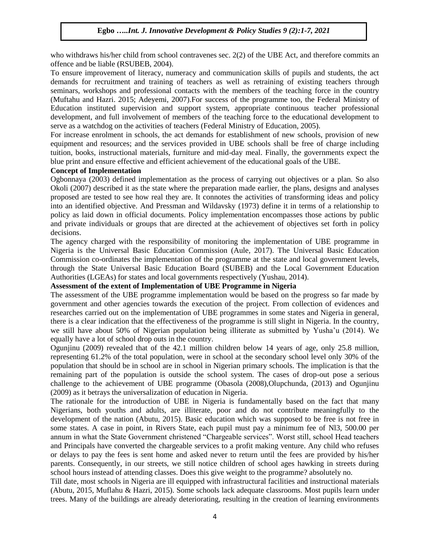who withdraws his/her child from school contravenes sec. 2(2) of the UBE Act, and therefore commits an offence and be liable (RSUBEB, 2004).

To ensure improvement of literacy, numeracy and communication skills of pupils and students, the act demands for recruitment and training of teachers as well as retraining of existing teachers through seminars, workshops and professional contacts with the members of the teaching force in the country (Muftahu and Hazri. 2015; Adeyemi, 2007).For success of the programme too, the Federal Ministry of Education instituted supervision and support system, appropriate continuous teacher professional development, and full involvement of members of the teaching force to the educational development to serve as a watchdog on the activities of teachers (Federal Ministry of Education, 2005).

For increase enrolment in schools, the act demands for establishment of new schools, provision of new equipment and resources; and the services provided in UBE schools shall be free of charge including tuition, books, instructional materials, furniture and mid-day meal. Finally, the governments expect the blue print and ensure effective and efficient achievement of the educational goals of the UBE.

#### **Concept of Implementation**

Ogbonnaya (2003) defined implementation as the process of carrying out objectives or a plan. So also Okoli (2007) described it as the state where the preparation made earlier, the plans, designs and analyses proposed are tested to see how real they are. It connotes the activities of transforming ideas and policy into an identified objective. And Pressman and Wildavsky (1973) define it in terms of a relationship to policy as laid down in official documents. Policy implementation encompasses those actions by public and private individuals or groups that are directed at the achievement of objectives set forth in policy decisions.

The agency charged with the responsibility of monitoring the implementation of UBE programme in Nigeria is the Universal Basic Education Commission (Aule, 2017). The Universal Basic Education Commission co-ordinates the implementation of the programme at the state and local government levels, through the State Universal Basic Education Board (SUBEB) and the Local Government Education Authorities (LGEAs) for states and local governments respectively (Yushau, 2014).

## **Assessment of the extent of Implementation of UBE Programme in Nigeria**

The assessment of the UBE programme implementation would be based on the progress so far made by government and other agencies towards the execution of the project. From collection of evidences and researches carried out on the implementation of UBE programmes in some states and Nigeria in general, there is a clear indication that the effectiveness of the programme is still slight in Nigeria. In the country, we still have about 50% of Nigerian population being illiterate as submitted by Yusha'u (2014). We equally have a lot of school drop outs in the country.

Ogunjinu (2009) revealed that of the 42.1 million children below 14 years of age, only 25.8 million, representing 61.2% of the total population, were in school at the secondary school level only 30% of the population that should be in school are in school in Nigerian primary schools. The implication is that the remaining part of the population is outside the school system. The cases of drop-out pose a serious challenge to the achievement of UBE programme (Obasola (2008),Olupchunda, (2013) and Ogunjinu (2009) as it betrays the universalization of education in Nigeria.

The rationale for the introduction of UBE in Nigeria is fundamentally based on the fact that many Nigerians, both youths and adults, are illiterate, poor and do not contribute meaningfully to the development of the nation (Abutu, 2015). Basic education which was supposed to be free is not free in some states. A case in point, in Rivers State, each pupil must pay a minimum fee of Nl3, 500.00 per annum in what the State Government christened "Chargeable services". Worst still, school Head teachers and Principals have converted the chargeable services to a profit making venture. Any child who refuses or delays to pay the fees is sent home and asked never to return until the fees are provided by his/her parents. Consequently, in our streets, we still notice children of school ages hawking in streets during school hours instead of attending classes. Does this give weight to the programme? absolutely no.

Till date, most schools in Nigeria are ill equipped with infrastructural facilities and instructional materials (Abutu, 2015, Muflahu & Hazri, 2015). Some schools lack adequate classrooms. Most pupils learn under trees. Many of the buildings are already deteriorating, resulting in the creation of learning environments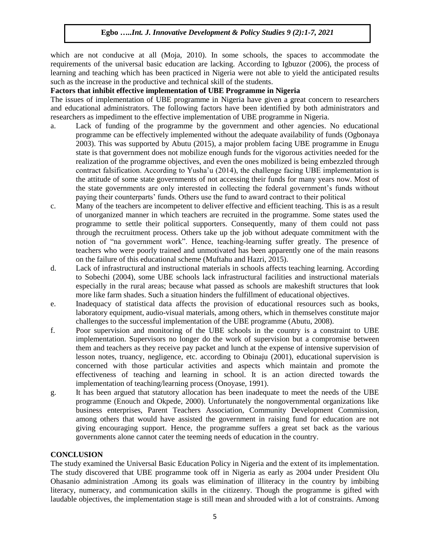which are not conducive at all (Moja, 2010). In some schools, the spaces to accommodate the requirements of the universal basic education are lacking. According to Igbuzor (2006), the process of learning and teaching which has been practiced in Nigeria were not able to yield the anticipated results such as the increase in the productive and technical skill of the students.

#### **Factors that inhibit effective implementation of UBE Programme in Nigeria**

The issues of implementation of UBE programme in Nigeria have given a great concern to researchers and educational administrators. The following factors have been identified by both administrators and researchers as impediment to the effective implementation of UBE programme in Nigeria.

- a. Lack of funding of the programme by the government and other agencies. No educational programme can be effectively implemented without the adequate availability of funds (Ogbonaya 2003). This was supported by Abutu (2015), a major problem facing UBE programme in Enugu state is that government does not mobilize enough funds for the vigorous activities needed for the realization of the programme objectives, and even the ones mobilized is being embezzled through contract falsification. According to Yusha'u (2014), the challenge facing UBE implementation is the attitude of some state governments of not accessing their funds for many years now. Most of the state governments are only interested in collecting the federal government's funds without paying their counterparts' funds. Others use the fund to award contract to their political
- c. Many of the teachers are incompetent to deliver effective and efficient teaching. This is as a result of unorganized manner in which teachers are recruited in the programme. Some states used the programme to settle their political supporters. Consequently, many of them could not pass through the recruitment process. Others take up the job without adequate commitment with the notion of "na government work". Hence, teaching-learning suffer greatly. The presence of teachers who were poorly trained and unmotivated has been apparently one of the main reasons on the failure of this educational scheme (Muftahu and Hazri, 2015).
- d. Lack of infrastructural and instructional materials in schools affects teaching learning. According to Sobechi (2004), some UBE schools lack infrastructural facilities and instructional materials especially in the rural areas; because what passed as schools are makeshift structures that look more like farm shades. Such a situation hinders the fulfillment of educational objectives.
- e. Inadequacy of statistical data affects the provision of educational resources such as books, laboratory equipment, audio-visual materials, among others, which in themselves constitute major challenges to the successful implementation of the UBE programme (Abutu, 2008).
- f. Poor supervision and monitoring of the UBE schools in the country is a constraint to UBE implementation. Supervisors no longer do the work of supervision but a compromise between them and teachers as they receive pay packet and lunch at the expense of intensive supervision of lesson notes, truancy, negligence, etc. according to Obinaju (2001), educational supervision is concerned with those particular activities and aspects which maintain and promote the effectiveness of teaching and learning in school. It is an action directed towards the implementation of teaching/learning process (Onoyase, 1991).
- g. It has been argued that statutory allocation has been inadequate to meet the needs of the UBE programme (Enouch and Okpede, 2000). Unfortunately the nongovernmental organizations like business enterprises, Parent Teachers Association, Community Development Commission, among others that would have assisted the government in raising fund for education are not giving encouraging support. Hence, the programme suffers a great set back as the various governments alone cannot cater the teeming needs of education in the country.

### **CONCLUSION**

The study examined the Universal Basic Education Policy in Nigeria and the extent of its implementation. The study discovered that UBE programme took off in Nigeria as early as 2004 under President Olu Ohasanio administration .Among its goals was elimination of illiteracy in the country by imbibing literacy, numeracy, and communication skills in the citizenry. Though the programme is gifted with laudable objectives, the implementation stage is still mean and shrouded with a lot of constraints. Among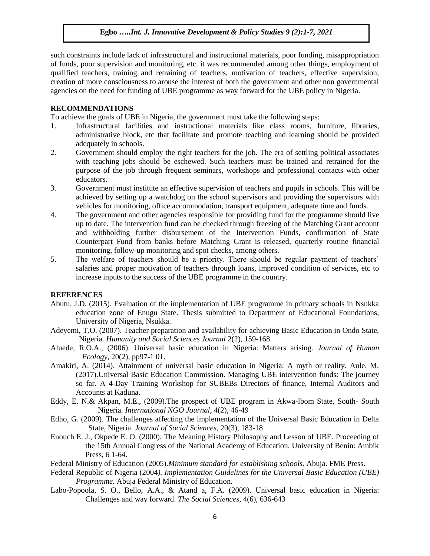such constraints include lack of infrastructural and instructional materials, poor funding, misappropriation of funds, poor supervision and monitoring, etc. it was recommended among other things, employment of qualified teachers, training and retraining of teachers, motivation of teachers, effective supervision, creation of more consciousness to arouse the interest of both the government and other non governmental agencies on the need for funding of UBE programme as way forward for the UBE policy in Nigeria.

#### **RECOMMENDATIONS**

To achieve the goals of UBE in Nigeria, the government must take the following steps:

- 1. Infrastructural facilities and instructional materials like class rooms, furniture, libraries, administrative block, etc that facilitate and promote teaching and learning should be provided adequately in schools.
- 2. Government should employ the right teachers for the job. The era of settling political associates with teaching jobs should be eschewed. Such teachers must be trained and retrained for the purpose of the job through frequent seminars, workshops and professional contacts with other educators.
- 3. Government must institute an effective supervision of teachers and pupils in schools. This will be achieved by setting up a watchdog on the school supervisors and providing the supervisors with vehicles for monitoring, office accommodation, transport equipment, adequate time and funds.
- 4. The government and other agencies responsible for providing fund for the programme should live up to date. The intervention fund can be checked through freezing of the Matching Grant account and withholding further disbursement of the Intervention Funds, confirmation of State Counterpart Fund from banks before Matching Grant is released, quarterly routine financial monitoring, follow-up monitoring and spot checks, among others.
- 5. The welfare of teachers should be a priority. There should be regular payment of teachers' salaries and proper motivation of teachers through loans, improved condition of services, etc to increase inputs to the success of the UBE programme in the country.

### **REFERENCES**

- Abutu, J.D. (2015). Evaluation of the implementation of UBE programme in primary schools in Nsukka education zone of Enugu State. Thesis submitted to Department of Educational Foundations, University of Nigeria, Nsukka.
- Adeyemi, T.O. (2007). Teacher preparation and availability for achieving Basic Education in Ondo State, Nigeria. *Humanity and Social Sciences Journal* 2(2), 159-168.
- Aluede, R.O.A., (2006). Universal basic education in Nigeria: Matters arising. *Journal of Human Ecology,* 20(2), pp97-1 01.
- Amakiri, A. (2014). Attainment of universal basic education in Nigeria: A myth or reality. Aule, M. (2017).Universal Basic Education Commission. Managing UBE intervention funds: The journey so far. A 4-Day Training Workshop for SUBEBs Directors of finance, Internal Auditors and Accounts at Kaduna.
- Eddy, E. N.& Akpan, M.E., (2009).The prospect of UBE program in Akwa-lbom State, South- South Nigeria. *International NGO Journal*, 4(2), 46-49
- Edho, G. (2009). The challenges affecting the implementation of the Universal Basic Education in Delta State, Nigeria. *Journal of Social Sciences*, 20(3), 183-18
- Enouch E. J., Okpede E. O. (2000). The Meaning History Philosophy and Lesson of UBE. Proceeding of the 15th Annual Congress of the National Academy of Education. University of Benin: Ambik Press, 6 1-64.

Federal Ministry of Education (2005).*Minimum standard for establishing schools*. Abuja. FME Press.

- Federal Republic of Nigeria (2004*). Implementation Guidelines for the Universal Basic Education (UBE) Programme.* Abuja Federal Ministry of Education.
- Labo-Popoola, S. O., Bello, A.A., & Atand a, F.A. (2009). Universal basic education in Nigeria: Challenges and way forward. *The Social Sciences*, 4(6), 636-643